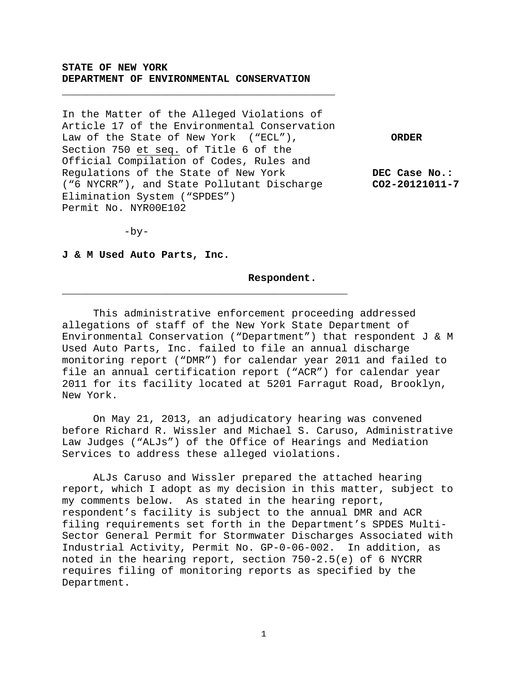## **STATE OF NEW YORK DEPARTMENT OF ENVIRONMENTAL CONSERVATION**

\_\_\_\_\_\_\_\_\_\_\_\_\_\_\_\_\_\_\_\_\_\_\_\_\_\_\_\_\_\_\_\_\_\_\_\_\_\_\_\_\_\_\_\_

In the Matter of the Alleged Violations of Article 17 of the Environmental Conservation Law of the State of New York ("ECL"), **ORDER** Section 750 et seq. of Title 6 of the Official Compilation of Codes, Rules and Regulations of the State of New York **DEC Case No.:**<br>("6 NYCRR"), and State Pollutant Discharge **CO2-20121011-7** ("6 NYCRR"), and State Pollutant Discharge Elimination System ("SPDES") Permit No. NYR00E102

\_\_\_\_\_\_\_\_\_\_\_\_\_\_\_\_\_\_\_\_\_\_\_\_\_\_\_\_\_\_\_\_\_\_\_\_\_\_\_\_\_\_\_\_\_\_

 $-by-$ 

**J & M Used Auto Parts, Inc.**

**Respondent.**

This administrative enforcement proceeding addressed allegations of staff of the New York State Department of Environmental Conservation ("Department") that respondent J & M Used Auto Parts, Inc. failed to file an annual discharge monitoring report ("DMR") for calendar year 2011 and failed to file an annual certification report ("ACR") for calendar year 2011 for its facility located at 5201 Farragut Road, Brooklyn, New York.

On May 21, 2013, an adjudicatory hearing was convened before Richard R. Wissler and Michael S. Caruso, Administrative Law Judges ("ALJs") of the Office of Hearings and Mediation Services to address these alleged violations.

ALJs Caruso and Wissler prepared the attached hearing report, which I adopt as my decision in this matter, subject to my comments below. As stated in the hearing report, respondent's facility is subject to the annual DMR and ACR filing requirements set forth in the Department's SPDES Multi-Sector General Permit for Stormwater Discharges Associated with Industrial Activity, Permit No. GP-0-06-002. In addition, as noted in the hearing report, section 750-2.5(e) of 6 NYCRR requires filing of monitoring reports as specified by the Department.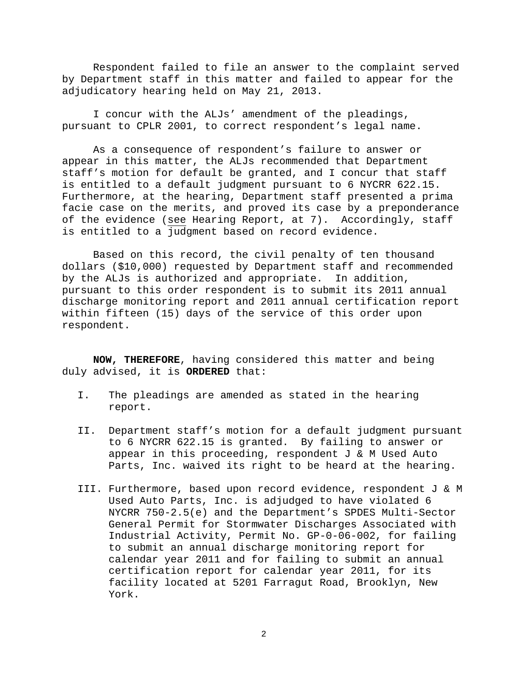Respondent failed to file an answer to the complaint served by Department staff in this matter and failed to appear for the adjudicatory hearing held on May 21, 2013.

I concur with the ALJs' amendment of the pleadings, pursuant to CPLR 2001, to correct respondent's legal name.

As a consequence of respondent's failure to answer or appear in this matter, the ALJs recommended that Department staff's motion for default be granted, and I concur that staff is entitled to a default judgment pursuant to 6 NYCRR 622.15. Furthermore, at the hearing, Department staff presented a prima facie case on the merits, and proved its case by a preponderance of the evidence (see Hearing Report, at 7). Accordingly, staff is entitled to a judgment based on record evidence.

Based on this record, the civil penalty of ten thousand dollars (\$10,000) requested by Department staff and recommended by the ALJs is authorized and appropriate. In addition, pursuant to this order respondent is to submit its 2011 annual discharge monitoring report and 2011 annual certification report within fifteen (15) days of the service of this order upon respondent.

**NOW, THEREFORE**, having considered this matter and being duly advised, it is **ORDERED** that:

- I. The pleadings are amended as stated in the hearing report.
- II. Department staff's motion for a default judgment pursuant to 6 NYCRR 622.15 is granted. By failing to answer or appear in this proceeding, respondent J & M Used Auto Parts, Inc. waived its right to be heard at the hearing.
- III. Furthermore, based upon record evidence, respondent J & M Used Auto Parts, Inc. is adjudged to have violated 6 NYCRR 750-2.5(e) and the Department's SPDES Multi-Sector General Permit for Stormwater Discharges Associated with Industrial Activity, Permit No. GP-0-06-002, for failing to submit an annual discharge monitoring report for calendar year 2011 and for failing to submit an annual certification report for calendar year 2011, for its facility located at 5201 Farragut Road, Brooklyn, New York.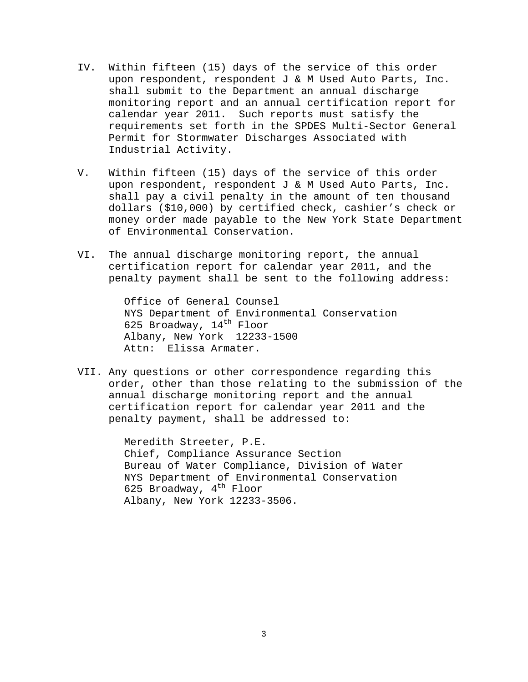- IV. Within fifteen (15) days of the service of this order upon respondent, respondent J & M Used Auto Parts, Inc. shall submit to the Department an annual discharge monitoring report and an annual certification report for calendar year 2011. Such reports must satisfy the requirements set forth in the SPDES Multi-Sector General Permit for Stormwater Discharges Associated with Industrial Activity.
- V. Within fifteen (15) days of the service of this order upon respondent, respondent J & M Used Auto Parts, Inc. shall pay a civil penalty in the amount of ten thousand dollars (\$10,000) by certified check, cashier's check or money order made payable to the New York State Department of Environmental Conservation.
- VI. The annual discharge monitoring report, the annual certification report for calendar year 2011, and the penalty payment shall be sent to the following address:

Office of General Counsel NYS Department of Environmental Conservation 625 Broadway,  $14^{\text{th}}$  Floor Albany, New York 12233-1500 Attn: Elissa Armater.

VII. Any questions or other correspondence regarding this order, other than those relating to the submission of the annual discharge monitoring report and the annual certification report for calendar year 2011 and the penalty payment, shall be addressed to:

> Meredith Streeter, P.E. Chief, Compliance Assurance Section Bureau of Water Compliance, Division of Water NYS Department of Environmental Conservation 625 Broadway,  $4^{\text{th}}$  Floor Albany, New York 12233-3506.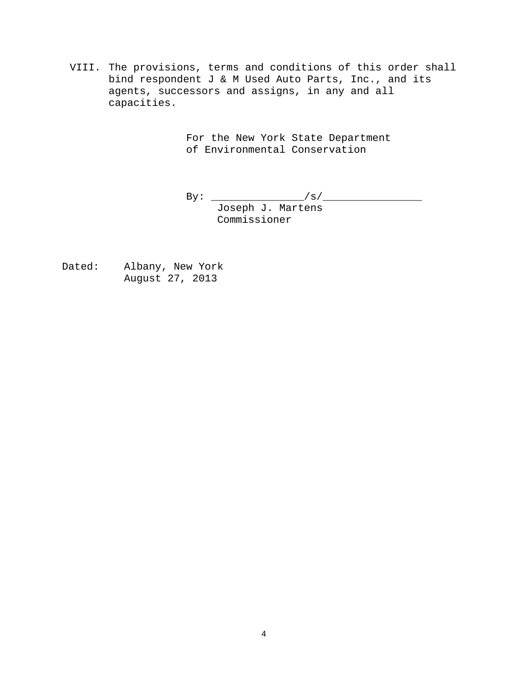VIII. The provisions, terms and conditions of this order shall bind respondent J & M Used Auto Parts, Inc., and its agents, successors and assigns, in any and all capacities.

> For the New York State Department of Environmental Conservation

 $\text{By:}\quad \underline{\hspace{2cm}}/s/\underline{\hspace{2cm}}$ 

Joseph J. Martens Commissioner

Dated: Albany, New York August 27, 2013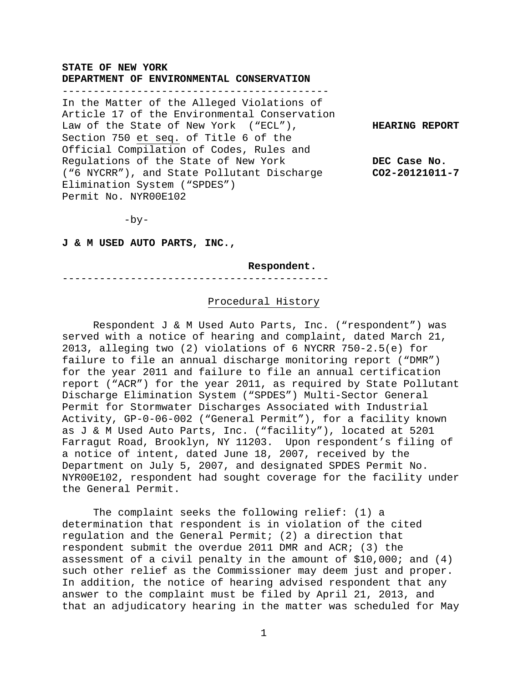## **STATE OF NEW YORK DEPARTMENT OF ENVIRONMENTAL CONSERVATION**

-------------------------------------------

In the Matter of the Alleged Violations of Article 17 of the Environmental Conservation Law of the State of New York ("ECL"), **HEARING REPORT** Section 750 et seq. of Title 6 of the Official Compilation of Codes, Rules and Regulations of the State of New York **DEC Case No.**<br>("6 NYCRR"), and State Pollutant Discharge **CO2-20121011-7** ("6 NYCRR"), and State Pollutant Discharge Elimination System ("SPDES") Permit No. NYR00E102

 $-by-$ 

#### **J & M USED AUTO PARTS, INC.,**

**Respondent.**

-------------------------------------------

#### Procedural History

Respondent J & M Used Auto Parts, Inc. ("respondent") was served with a notice of hearing and complaint, dated March 21, 2013, alleging two (2) violations of 6 NYCRR 750-2.5(e) for failure to file an annual discharge monitoring report ("DMR") for the year 2011 and failure to file an annual certification report ("ACR") for the year 2011, as required by State Pollutant Discharge Elimination System ("SPDES") Multi-Sector General Permit for Stormwater Discharges Associated with Industrial Activity, GP-0-06-002 ("General Permit"), for a facility known as J & M Used Auto Parts, Inc. ("facility"), located at 5201 Farragut Road, Brooklyn, NY 11203. Upon respondent's filing of a notice of intent, dated June 18, 2007, received by the Department on July 5, 2007, and designated SPDES Permit No. NYR00E102, respondent had sought coverage for the facility under the General Permit.

The complaint seeks the following relief: (1) a determination that respondent is in violation of the cited regulation and the General Permit; (2) a direction that respondent submit the overdue 2011 DMR and ACR; (3) the assessment of a civil penalty in the amount of \$10,000; and (4) such other relief as the Commissioner may deem just and proper. In addition, the notice of hearing advised respondent that any answer to the complaint must be filed by April 21, 2013, and that an adjudicatory hearing in the matter was scheduled for May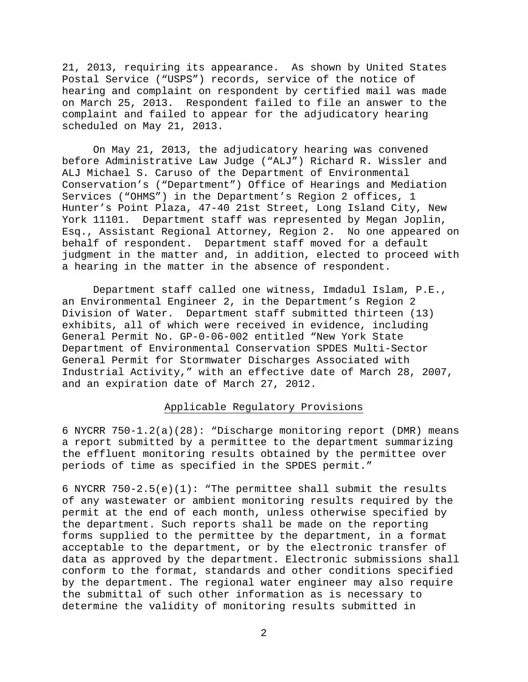21, 2013, requiring its appearance. As shown by United States Postal Service ("USPS") records, service of the notice of hearing and complaint on respondent by certified mail was made on March 25, 2013. Respondent failed to file an answer to the complaint and failed to appear for the adjudicatory hearing scheduled on May 21, 2013.

On May 21, 2013, the adjudicatory hearing was convened before Administrative Law Judge ("ALJ") Richard R. Wissler and ALJ Michael S. Caruso of the Department of Environmental Conservation's ("Department") Office of Hearings and Mediation Services ("OHMS") in the Department's Region 2 offices, 1 Hunter's Point Plaza, 47-40 21st Street, Long Island City, New York 11101. Department staff was represented by Megan Joplin, Esq., Assistant Regional Attorney, Region 2. No one appeared on behalf of respondent. Department staff moved for a default judgment in the matter and, in addition, elected to proceed with a hearing in the matter in the absence of respondent.

Department staff called one witness, Imdadul Islam, P.E., an Environmental Engineer 2, in the Department's Region 2 Division of Water. Department staff submitted thirteen (13) exhibits, all of which were received in evidence, including General Permit No. GP-0-06-002 entitled "New York State Department of Environmental Conservation SPDES Multi-Sector General Permit for Stormwater Discharges Associated with Industrial Activity," with an effective date of March 28, 2007, and an expiration date of March 27, 2012.

## Applicable Regulatory Provisions

6 NYCRR 750-1.2(a)(28): "Discharge monitoring report (DMR) means a report submitted by a permittee to the department summarizing the effluent monitoring results obtained by the permittee over periods of time as specified in the SPDES permit."

6 NYCRR 750-2.5(e)(1): "The permittee shall submit the results of any wastewater or ambient monitoring results required by the permit at the end of each month, unless otherwise specified by the department. Such reports shall be made on the reporting forms supplied to the permittee by the department, in a format acceptable to the department, or by the electronic transfer of data as approved by the department. Electronic submissions shall conform to the format, standards and other conditions specified by the department. The regional water engineer may also require the submittal of such other information as is necessary to determine the validity of monitoring results submitted in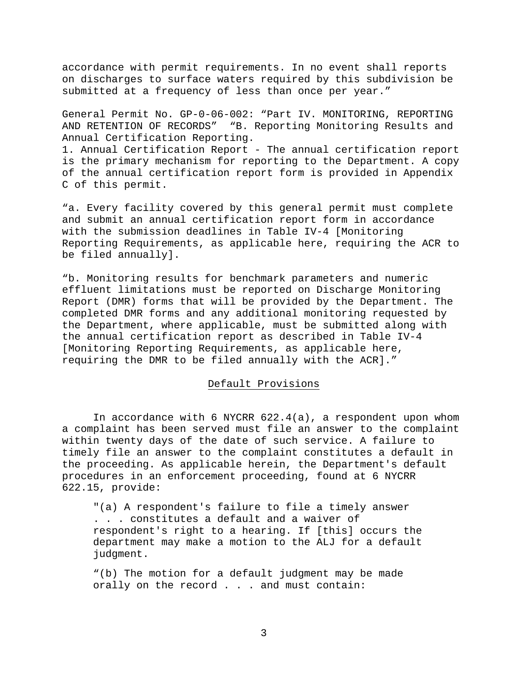accordance with permit requirements. In no event shall reports on discharges to surface waters required by this subdivision be submitted at a frequency of less than once per year."

General Permit No. GP-0-06-002: "Part IV. MONITORING, REPORTING AND RETENTION OF RECORDS" "B. Reporting Monitoring Results and Annual Certification Reporting.

1. Annual Certification Report - The annual certification report is the primary mechanism for reporting to the Department. A copy of the annual certification report form is provided in Appendix C of this permit.

"a. Every facility covered by this general permit must complete and submit an annual certification report form in accordance with the submission deadlines in Table IV-4 [Monitoring Reporting Requirements, as applicable here, requiring the ACR to be filed annually].

"b. Monitoring results for benchmark parameters and numeric effluent limitations must be reported on Discharge Monitoring Report (DMR) forms that will be provided by the Department. The completed DMR forms and any additional monitoring requested by the Department, where applicable, must be submitted along with the annual certification report as described in Table IV-4 [Monitoring Reporting Requirements, as applicable here, requiring the DMR to be filed annually with the ACR]."

### Default Provisions

In accordance with 6 NYCRR 622.4(a), a respondent upon whom a complaint has been served must file an answer to the complaint within twenty days of the date of such service. A failure to timely file an answer to the complaint constitutes a default in the proceeding. As applicable herein, the Department's default procedures in an enforcement proceeding, found at 6 NYCRR 622.15, provide:

"(a) A respondent's failure to file a timely answer . . . constitutes a default and a waiver of respondent's right to a hearing. If [this] occurs the department may make a motion to the ALJ for a default judgment.

"(b) The motion for a default judgment may be made orally on the record . . . and must contain: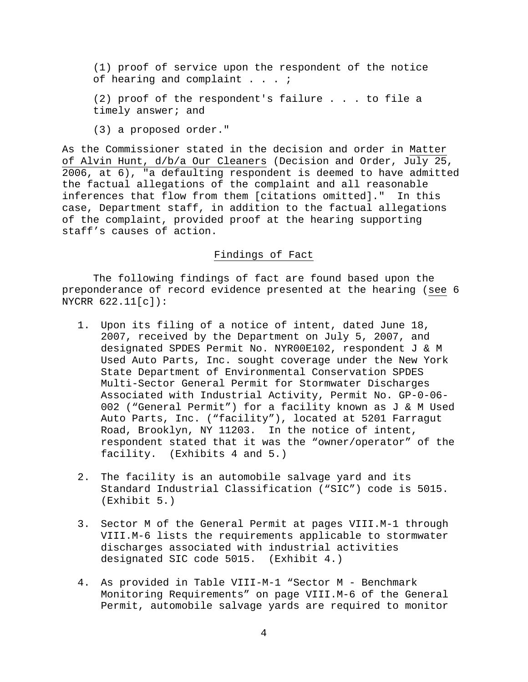(1) proof of service upon the respondent of the notice of hearing and complaint . . . *;* 

(2) proof of the respondent's failure . . . to file a timely answer; and

(3) a proposed order."

As the Commissioner stated in the decision and order in Matter of Alvin Hunt, d/b/a Our Cleaners (Decision and Order, July 25, 2006, at 6), "a defaulting respondent is deemed to have admitted the factual allegations of the complaint and all reasonable inferences that flow from them [citations omitted]." In this case, Department staff, in addition to the factual allegations of the complaint, provided proof at the hearing supporting staff's causes of action.

# Findings of Fact

The following findings of fact are found based upon the preponderance of record evidence presented at the hearing (see 6 NYCRR 622.11[c]):

- 1. Upon its filing of a notice of intent, dated June 18, 2007, received by the Department on July 5, 2007, and designated SPDES Permit No. NYR00E102, respondent J & M Used Auto Parts, Inc. sought coverage under the New York State Department of Environmental Conservation SPDES Multi-Sector General Permit for Stormwater Discharges Associated with Industrial Activity, Permit No. GP-0-06- 002 ("General Permit") for a facility known as J & M Used Auto Parts, Inc. ("facility"), located at 5201 Farragut Road, Brooklyn, NY 11203. In the notice of intent, respondent stated that it was the "owner/operator" of the facility. (Exhibits 4 and 5.)
- 2. The facility is an automobile salvage yard and its Standard Industrial Classification ("SIC") code is 5015. (Exhibit 5.)
- 3. Sector M of the General Permit at pages VIII.M-1 through VIII.M-6 lists the requirements applicable to stormwater discharges associated with industrial activities designated SIC code 5015. (Exhibit 4.)
- 4. As provided in Table VIII-M-1 "Sector M Benchmark Monitoring Requirements" on page VIII.M-6 of the General Permit, automobile salvage yards are required to monitor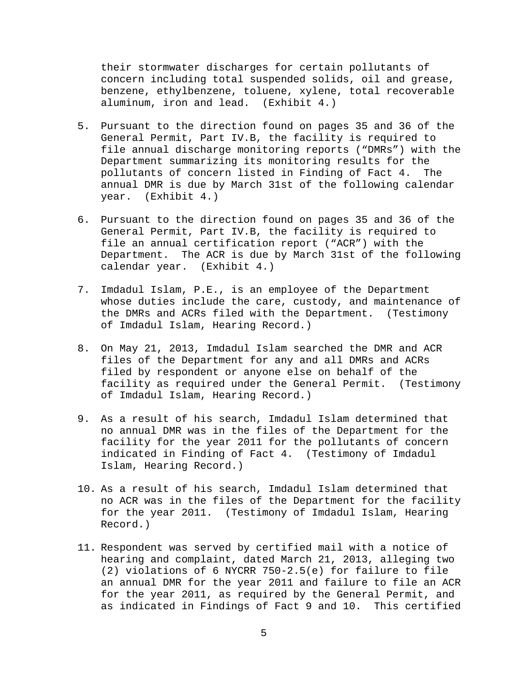their stormwater discharges for certain pollutants of concern including total suspended solids, oil and grease, benzene, ethylbenzene, toluene, xylene, total recoverable aluminum, iron and lead. (Exhibit 4.)

- 5. Pursuant to the direction found on pages 35 and 36 of the General Permit, Part IV.B, the facility is required to file annual discharge monitoring reports ("DMRs") with the Department summarizing its monitoring results for the pollutants of concern listed in Finding of Fact 4. The annual DMR is due by March 31st of the following calendar year. (Exhibit 4.)
- 6. Pursuant to the direction found on pages 35 and 36 of the General Permit, Part IV.B, the facility is required to file an annual certification report ("ACR") with the Department. The ACR is due by March 31st of the following calendar year. (Exhibit 4.)
- 7. Imdadul Islam, P.E., is an employee of the Department whose duties include the care, custody, and maintenance of the DMRs and ACRs filed with the Department. (Testimony of Imdadul Islam, Hearing Record.)
- 8. On May 21, 2013, Imdadul Islam searched the DMR and ACR files of the Department for any and all DMRs and ACRs filed by respondent or anyone else on behalf of the facility as required under the General Permit. (Testimony of Imdadul Islam, Hearing Record.)
- 9. As a result of his search, Imdadul Islam determined that no annual DMR was in the files of the Department for the facility for the year 2011 for the pollutants of concern indicated in Finding of Fact 4. (Testimony of Imdadul Islam, Hearing Record.)
- 10. As a result of his search, Imdadul Islam determined that no ACR was in the files of the Department for the facility for the year 2011. (Testimony of Imdadul Islam, Hearing Record.)
- 11. Respondent was served by certified mail with a notice of hearing and complaint, dated March 21, 2013, alleging two (2) violations of 6 NYCRR 750-2.5(e) for failure to file an annual DMR for the year 2011 and failure to file an ACR for the year 2011, as required by the General Permit, and as indicated in Findings of Fact 9 and 10. This certified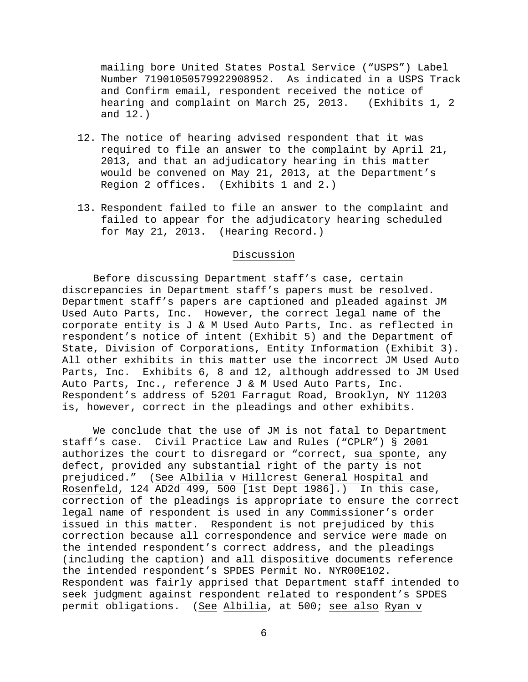mailing bore United States Postal Service ("USPS") Label Number 71901050579922908952. As indicated in a USPS Track and Confirm email, respondent received the notice of hearing and complaint on March 25, 2013. (Exhibits 1, 2 and 12.)

- 12. The notice of hearing advised respondent that it was required to file an answer to the complaint by April 21, 2013, and that an adjudicatory hearing in this matter would be convened on May 21, 2013, at the Department's Region 2 offices. (Exhibits 1 and 2.)
- 13. Respondent failed to file an answer to the complaint and failed to appear for the adjudicatory hearing scheduled for May 21, 2013. (Hearing Record.)

# Discussion

Before discussing Department staff's case, certain discrepancies in Department staff's papers must be resolved. Department staff's papers are captioned and pleaded against JM Used Auto Parts, Inc. However, the correct legal name of the corporate entity is J & M Used Auto Parts, Inc. as reflected in respondent's notice of intent (Exhibit 5) and the Department of State, Division of Corporations, Entity Information (Exhibit 3). All other exhibits in this matter use the incorrect JM Used Auto Parts, Inc. Exhibits 6, 8 and 12, although addressed to JM Used Auto Parts, Inc., reference J & M Used Auto Parts, Inc. Respondent's address of 5201 Farragut Road, Brooklyn, NY 11203 is, however, correct in the pleadings and other exhibits.

We conclude that the use of JM is not fatal to Department staff's case. Civil Practice Law and Rules ("CPLR") § 2001 authorizes the court to disregard or "correct, sua sponte, any defect, provided any substantial right of the party is not prejudiced." (See Albilia v Hillcrest General Hospital and Rosenfeld, 124 AD2d 499, 500 [1st Dept 1986].) In this case, correction of the pleadings is appropriate to ensure the correct legal name of respondent is used in any Commissioner's order issued in this matter. Respondent is not prejudiced by this correction because all correspondence and service were made on the intended respondent's correct address, and the pleadings (including the caption) and all dispositive documents reference the intended respondent's SPDES Permit No. NYR00E102. Respondent was fairly apprised that Department staff intended to seek judgment against respondent related to respondent's SPDES permit obligations. (See Albilia, at 500; see also Ryan v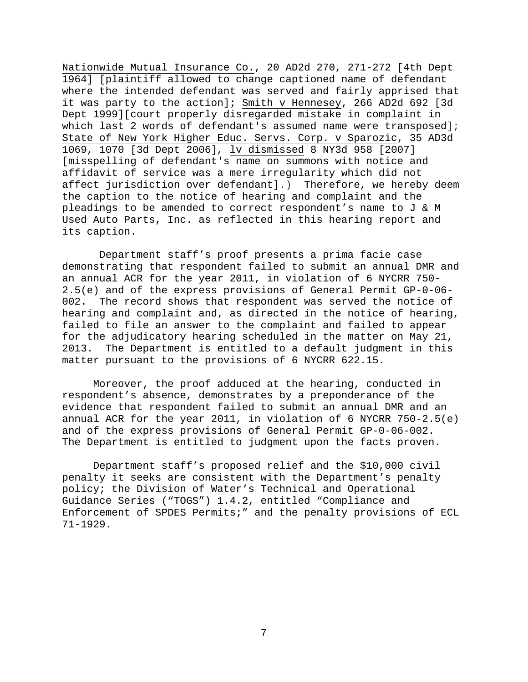Nationwide Mutual Insurance Co., 20 AD2d 270, 271-272 [4th Dept 1964] [plaintiff allowed to change captioned name of defendant where the intended defendant was served and fairly apprised that it was party to the action]; Smith v Hennesey, 266 AD2d 692 [3d Dept 1999][court properly disregarded mistake in complaint in which last 2 words of defendant's assumed name were transposed]; State of New York Higher Educ. Servs. Corp. v Sparozic, 35 AD3d 1069, 1070 [3d Dept 2006]*,* lv dismissed 8 NY3d 958 [2007] [misspelling of defendant's name on summons with notice and affidavit of service was a mere irregularity which did not affect jurisdiction over defendant].) Therefore, we hereby deem the caption to the notice of hearing and complaint and the pleadings to be amended to correct respondent's name to J & M Used Auto Parts, Inc. as reflected in this hearing report and its caption.

Department staff's proof presents a prima facie case demonstrating that respondent failed to submit an annual DMR and an annual ACR for the year 2011, in violation of 6 NYCRR 750- 2.5(e) and of the express provisions of General Permit GP-0-06- 002. The record shows that respondent was served the notice of hearing and complaint and, as directed in the notice of hearing, failed to file an answer to the complaint and failed to appear for the adjudicatory hearing scheduled in the matter on May 21, 2013. The Department is entitled to a default judgment in this matter pursuant to the provisions of 6 NYCRR 622.15.

Moreover, the proof adduced at the hearing, conducted in respondent's absence, demonstrates by a preponderance of the evidence that respondent failed to submit an annual DMR and an annual ACR for the year 2011, in violation of 6 NYCRR 750-2.5(e) and of the express provisions of General Permit GP-0-06-002. The Department is entitled to judgment upon the facts proven.

Department staff's proposed relief and the \$10,000 civil penalty it seeks are consistent with the Department's penalty policy; the Division of Water's Technical and Operational Guidance Series ("TOGS") 1.4.2, entitled "Compliance and Enforcement of SPDES Permits;" and the penalty provisions of ECL 71-1929.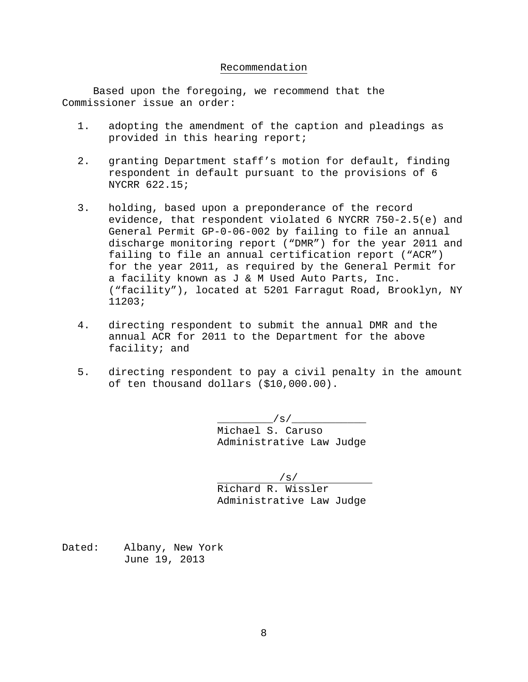#### Recommendation

Based upon the foregoing, we recommend that the Commissioner issue an order:

- 1. adopting the amendment of the caption and pleadings as provided in this hearing report;
- 2. granting Department staff's motion for default, finding respondent in default pursuant to the provisions of 6 NYCRR 622.15;
- 3. holding, based upon a preponderance of the record evidence, that respondent violated 6 NYCRR 750-2.5(e) and General Permit GP-0-06-002 by failing to file an annual discharge monitoring report ("DMR") for the year 2011 and failing to file an annual certification report ("ACR") for the year 2011, as required by the General Permit for a facility known as J & M Used Auto Parts, Inc. ("facility"), located at 5201 Farragut Road, Brooklyn, NY 11203;
- 4. directing respondent to submit the annual DMR and the annual ACR for 2011 to the Department for the above facility; and
- 5. directing respondent to pay a civil penalty in the amount of ten thousand dollars (\$10,000.00).

 $\sqrt{s}/$ Michael S. Caruso Administrative Law Judge

/s/

Richard R. Wissler Administrative Law Judge

Dated: Albany, New York June 19, 2013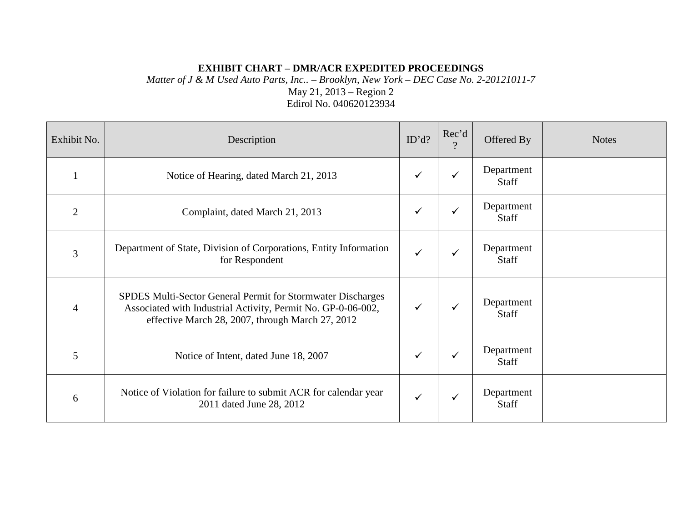# **EXHIBIT CHART – DMR/ACR EXPEDITED PROCEEDINGS**

*Matter of J & M Used Auto Parts, Inc.. – Brooklyn, New York – DEC Case No. 2-20121011-7* May 21, 2013 – Region 2 Edirol No. 040620123934

| Exhibit No.    | Description                                                                                                                                                                     | ID'd?        | Rec'd<br>$\Omega$ | Offered By                 | <b>Notes</b> |
|----------------|---------------------------------------------------------------------------------------------------------------------------------------------------------------------------------|--------------|-------------------|----------------------------|--------------|
|                | Notice of Hearing, dated March 21, 2013                                                                                                                                         | $\checkmark$ | $\checkmark$      | Department<br><b>Staff</b> |              |
| $\overline{2}$ | Complaint, dated March 21, 2013                                                                                                                                                 | $\checkmark$ | ✓                 | Department<br>Staff        |              |
| 3              | Department of State, Division of Corporations, Entity Information<br>for Respondent                                                                                             | ✓            | ✓                 | Department<br><b>Staff</b> |              |
| $\overline{4}$ | SPDES Multi-Sector General Permit for Stormwater Discharges<br>Associated with Industrial Activity, Permit No. GP-0-06-002,<br>effective March 28, 2007, through March 27, 2012 |              | ✓                 | Department<br>Staff        |              |
| 5              | Notice of Intent, dated June 18, 2007                                                                                                                                           | ✓            | ✓                 | Department<br>Staff        |              |
| 6              | Notice of Violation for failure to submit ACR for calendar year<br>2011 dated June 28, 2012                                                                                     | ✓            | ✓                 | Department<br>Staff        |              |